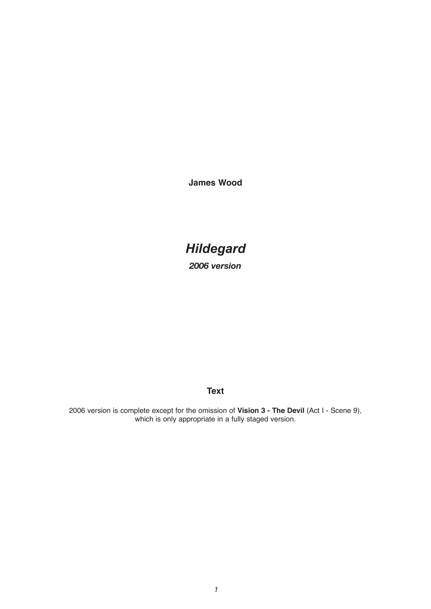**James Wood**

# *Hildegard*

*2006 version*

## **Text**

2006 version is complete except for the omission of **Vision 3 - The Devil** (Act I - Scene 9), which is only appropriate in a fully staged version.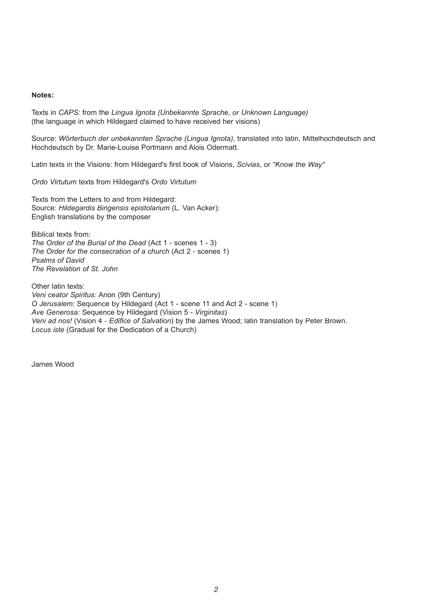#### **Notes:**

Texts in *CAPS:* from the *Lingua Ignota (Unbekannte Sprache, or Unknown Language)* (the language in which Hildegard claimed to have received her visions)

Source: *Wörterbuch der unbekannten Sprache (Lingua Ignota)*, translated into latin, Mittelhochdeutsch and Hochdeutsch by Dr. Marie-Louise Portmann and Alois Odermatt.

Latin texts in the Visions: from Hildegard's first book of Visions, *Scivias*, or "Know the Way"

*Ordo Virtutum* texts from Hildegard's *Ordo Virtutum*

Texts from the Letters to and from Hildegard: Source: *Hildegardis Bingensis epistolarium* (L. Van Acker): English translations by the composer

Biblical texts from: *The Order of the Burial of the Dead* (Act 1 - scenes 1 - 3) *The Order for the consecration of a church* (Act 2 - scenes 1) *Psalms of David The Revelation of St. John*

Other latin texts: *Veni ceator Spiritus:* Anon (9th Century) *O Jerusalem:* Sequence by Hildegard (Act 1 - scene 11 and Act 2 - scene 1) *Ave Generosa:* Sequence by Hildegard (Vision 5 - *Virginitas*) *Veni ad nos!* (Vision 4 - *Edifice of Salvation*) by the James Wood; latin translation by Peter Brown. *Locus iste* (Gradual for the Dedication of a Church)

James Wood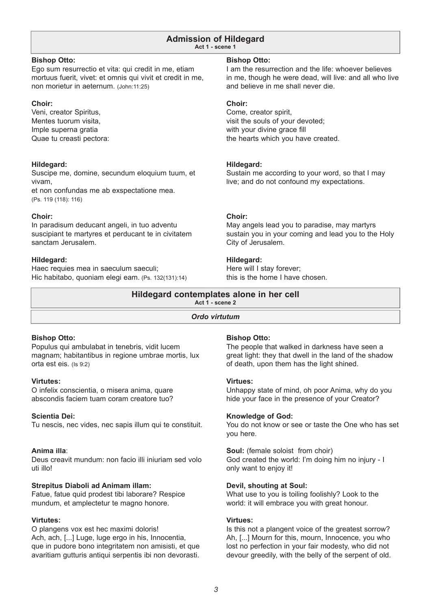#### **Admission of Hildegard Act 1 - scene 1**

### **Bishop Otto:**

Ego sum resurrectio et vita: qui credit in me, etiam mortuus fuerit, vivet: et omnis qui vivit et credit in me, non morietur in aeternum. (John:11:25)

### **Choir:**

Veni, creator Spiritus, Mentes tuorum visita, Imple superna gratia Quae tu creasti pectora:

### **Hildegard:**

Suscipe me, domine, secundum eloquium tuum, et vivam, et non confundas me ab exspectatione mea. (Ps. 119 (118): 116)

### **Choir:**

In paradisum deducant angeli, in tuo adventu suscipiant te martyres et perducant te in civitatem sanctam Jerusalem.

### **Hildegard:**

Haec requies mea in saeculum saeculi; Hic habitabo, quoniam elegi eam. (Ps. 132(131):14)

### **Bishop Otto:**

I am the resurrection and the life: whoever believes in me, though he were dead, will live: and all who live and believe in me shall never die.

### **Choir:**

Come, creator spirit, visit the souls of your devoted; with your divine grace fill the hearts which you have created.

### **Hildegard:**

Sustain me according to your word, so that I may live; and do not confound my expectations.

### **Choir:**

May angels lead you to paradise, may martyrs sustain you in your coming and lead you to the Holy City of Jerusalem.

### **Hildegard:**

Here will I stay forever; this is the home I have chosen.

#### **Hildegard contemplates alone in her cell Act 1 - scene 2**

### *Ordo virtutum*

### **Bishop Otto:**

Populus qui ambulabat in tenebris, vidit lucem magnam; habitantibus in regione umbrae mortis, lux orta est eis. (Is 9:2)

### **Virtutes:**

O infelix conscientia, o misera anima, quare abscondis faciem tuam coram creatore tuo?

### **Scientia Dei:**

Tu nescis, nec vides, nec sapis illum qui te constituit.

### **Anima illa**:

Deus creavit mundum: non facio illi iniuriam sed volo uti illo!

### **Strepitus Diaboli ad Animam illam:**

Fatue, fatue quid prodest tibi laborare? Respice mundum, et amplectetur te magno honore.

### **Virtutes:**

O plangens vox est hec maximi doloris! Ach, ach, [...] Luge, luge ergo in his, Innocentia, que in pudore bono integritatem non amisisti, et que avaritiam gutturis antiqui serpentis ibi non devorasti.

### **Bishop Otto:**

The people that walked in darkness have seen a great light: they that dwell in the land of the shadow of death, upon them has the light shined.

### **Virtues:**

Unhappy state of mind, oh poor Anima, why do you hide your face in the presence of your Creator?

### **Knowledge of God:**

You do not know or see or taste the One who has set you here.

**Soul:** (female soloist from choir) God created the world: I'm doing him no injury - I only want to enjoy it!

### **Devil, shouting at Soul:**

What use to you is toiling foolishly? Look to the world: it will embrace you with great honour.

#### **Virtues:**

Is this not a plangent voice of the greatest sorrow? Ah, [...] Mourn for this, mourn, Innocence, you who lost no perfection in your fair modesty, who did not devour greedily, with the belly of the serpent of old.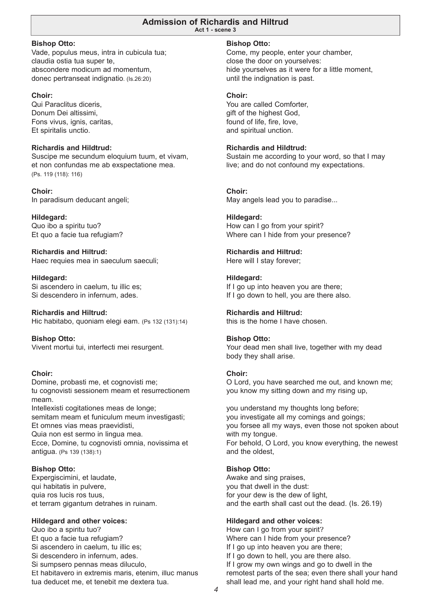#### **Admission of Richardis and Hiltrud Act 1 - scene 3**

**Bishop Otto:**

Vade, populus meus, intra in cubicula tua; claudia ostia tua super te, abscondere modicum ad momentum, donec pertranseat indignatio. (Is.26:20)

### **Choir:**

Qui Paraclitus diceris, Donum Dei altissimi, Fons vivus, ignis, caritas, Et spiritalis unctio.

### **Richardis and Hildtrud:**

Suscipe me secundum eloquium tuum, et vivam, et non confundas me ab exspectatione mea. (Ps. 119 (118): 116)

**Choir:** In paradisum deducant angeli;

**Hildegard:** Quo ibo a spiritu tuo? Et quo a facie tua refugiam?

**Richardis and Hiltrud:** Haec requies mea in saeculum saeculi;

**Hildegard:** Si ascendero in caelum, tu illic es; Si descendero in infernum, ades.

**Richardis and Hiltrud:** Hic habitabo, quoniam elegi eam. (Ps 132 (131):14)

**Bishop Otto:** Vivent mortui tui, interfecti mei resurgent.

### **Choir:**

Domine, probasti me, et cognovisti me; tu cognovisti sessionem meam et resurrectionem meam. Intellexisti cogitationes meas de longe:

semitam meam et funiculum meum investigasti; Et omnes vias meas praevidisti, Quia non est sermo in lingua mea. Ecce, Domine, tu cognovisti omnia, novissima et antigua. (Ps 139 (138):1)

### **Bishop Otto:**

Expergiscimini, et laudate, qui habitatis in pulvere, quia ros lucis ros tuus, et terram gigantum detrahes in ruinam.

### **Hildegard and other voices:**

Quo ibo a spiritu tuo? Et quo a facie tua refugiam? Si ascendero in caelum, tu illic es; Si descendero in infernum, ades. Si sumpsero pennas meas diluculo, Et habitavero in extremis maris, etenim, illuc manus tua deducet me, et tenebit me dextera tua.

#### **Bishop Otto:**

Come, my people, enter your chamber, close the door on yourselves: hide yourselves as it were for a little moment, until the indignation is past.

#### **Choir:**

You are called Comforter, gift of the highest God, found of life, fire, love, and spiritual unction.

#### **Richardis and Hildtrud:**

Sustain me according to your word, so that I may live; and do not confound my expectations.

#### **Choir:**

May angels lead you to paradise...

### **Hildegard:**

How can I go from your spirit? Where can I hide from your presence?

### **Richardis and Hiltrud:**

Here will I stay forever;

#### **Hildegard:**

If I go up into heaven you are there; If I go down to hell, you are there also.

#### **Richardis and Hiltrud:**

this is the home I have chosen.

#### **Bishop Otto:**

Your dead men shall live, together with my dead body they shall arise.

#### **Choir:**

O Lord, you have searched me out, and known me; you know my sitting down and my rising up,

you understand my thoughts long before; you investigate all my comings and goings; you forsee all my ways, even those not spoken about with my tongue. For behold, O Lord, you know everything, the newest and the oldest,

### **Bishop Otto:**

Awake and sing praises, you that dwell in the dust: for your dew is the dew of light, and the earth shall cast out the dead. (Is. 26.19)

### **Hildegard and other voices:**

How can I go from your spirit? Where can I hide from your presence? If I go up into heaven you are there; If I go down to hell, you are there also. If I grow my own wings and go to dwell in the remotest parts of the sea; even there shall your hand shall lead me, and your right hand shall hold me.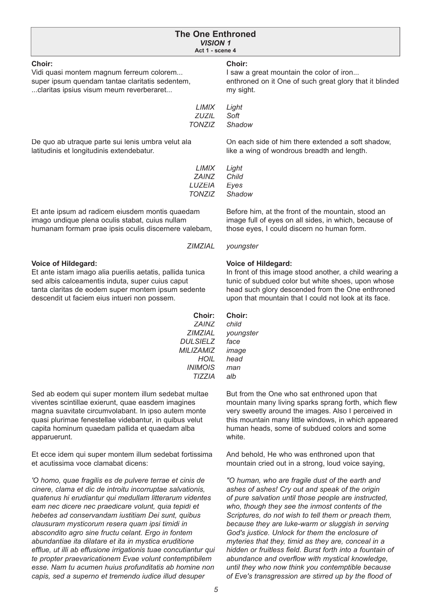| <b>The One Enthroned</b><br><b>VISION 1</b><br>Act 1 - scene 4 |                                                         |  |
|----------------------------------------------------------------|---------------------------------------------------------|--|
| Choir:                                                         | Choir:                                                  |  |
| Vidi quasi montem magnum ferreum colorem                       | I saw a great mountain the color of iron                |  |
| super ipsum quendam tantae claritatis sedentem,                | enthroned on it One of such great glory that it blinded |  |
| claritas ipsius visum meum reverberaret                        | my sight.                                               |  |
| LIMIX                                                          | Light                                                   |  |
| <b>ZUZIL</b>                                                   | Soft                                                    |  |
| <b>TONZIZ</b>                                                  | Shadow                                                  |  |
| De quo ab utraque parte sui lenis umbra velut ala              | On each side of him there extended a soft shadow,       |  |
| latitudinis et longitudinis extendebatur.                      | like a wing of wondrous breadth and length.             |  |
| LIMIX                                                          | Light                                                   |  |
| <b>ZAINZ</b>                                                   | Child                                                   |  |
| LUZEIA                                                         | Eyes                                                    |  |
| <b>TONZIZ</b>                                                  | Shadow                                                  |  |
| Et ante ipsum ad radicem eiusdem montis quaedam                | Before him, at the front of the mountain, stood an      |  |
| imago undique plena oculis stabat, cuius nullam                | image full of eyes on all sides, in which, because of   |  |
| humanam formam prae ipsis oculis discernere valebam,           | those eyes, I could discern no human form.              |  |
| <b>ZIMZIAL</b>                                                 | youngster                                               |  |
| <b>Voice of Hildegard:</b>                                     | <b>Voice of Hildegard:</b>                              |  |
| Et ante istam imago alia puerilis aetatis, pallida tunica      | In front of this image stood another, a child wearing a |  |
| sed albis calceamentis induta, super cuius caput               | tunic of subdued color but white shoes, upon whose      |  |
| tanta claritas de eodem super montem ipsum sedente             | head such glory descended from the One enthroned        |  |
| descendit ut faciem eius intueri non possem.                   | upon that mountain that I could not look at its face.   |  |
| Choir:                                                         | Choir:                                                  |  |

**Choir:** *ZAINZ ZIMZIAL DULSIELZ MILIZAMIZ HOIL INIMOIS TIZZIA*

Sed ab eodem qui super montem illum sedebat multae viventes scintillae exierunt, quae easdem imagines magna suavitate circumvolabant. In ipso autem monte quasi plurimae fenestellae videbantur, in quibus velut capita hominum quaedam pallida et quaedam alba apparuerunt.

Et ecce idem qui super montem illum sedebat fortissima et acutissima voce clamabat dicens:

*'O homo, quae fragilis es de pulvere terrae et cinis de cinere, clama et dic de introitu incorruptae salvationis, quatenus hi erudiantur qui medullam litterarum videntes eam nec dicere nec praedicare volunt, quia tepidi et hebetes ad conservandam iustitiam Dei sunt, quibus clausuram mysticorum resera quam ipsi timidi in abscondito agro sine fructu celant. Ergo in fontem abundantiae ita dilatare et ita in mystica eruditione effl ue, ut illi ab effusione irrigationis tuae concutiantur qui te propter praevaricationem Evae volunt contemptibilem esse. Nam tu acumen huius profunditatis ab homine non capis, sed a superno et tremendo iudice illud desuper* 

*youngster face image head man alb*

*child*

But from the One who sat enthroned upon that mountain many living sparks sprang forth, which flew very sweetly around the images. Also I perceived in this mountain many little windows, in which appeared human heads, some of subdued colors and some white.

And behold, He who was enthroned upon that mountain cried out in a strong, loud voice saying,

*"O human, who are fragile dust of the earth and ashes of ashes! Cry out and speak of the origin of pure salvation until those people are instructed, who, though they see the inmost contents of the Scriptures, do not wish to tell them or preach them, because they are luke-warm or sluggish in serving God's justice. Unlock for them the enclosure of myteries that they, timid as they are, conceal in a*  hidden or fruitless field. Burst forth into a fountain of abundance and overflow with mystical knowledge, *until they who now think you contemptible because*  of Eve's transgression are stirred up by the flood of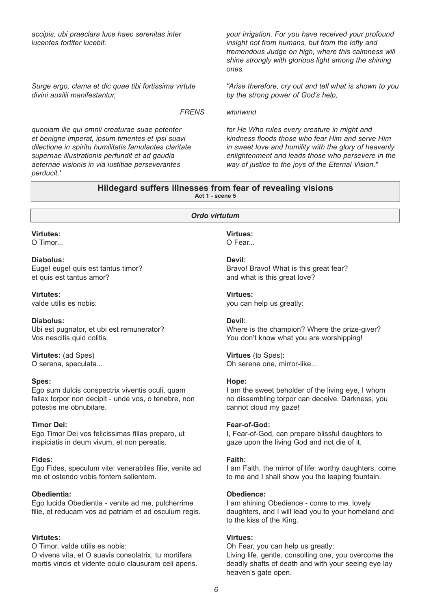*accipis, ubi praeclara luce haec serenitas inter lucentes fortiter lucebit.*

*Surge ergo, clama et dic quae tibi fortissima virtute divini auxilii manifestantur,* 

*FRENS*

*quoniam ille qui omnii creaturae suae potenter et benigne imperat, ipsum timentes et ipsi suavi dilectione in spiritu humilitatis famulantes claritate supernae illustrationis perfundit et ad gaudia aeternae visionis in via iustitiae perseverantes perducit.'*

*your irrigation. For you have received your profound insight not from humans, but from the lofty and tremendous Judge on high, where this calmness will shine strongly with glorious light among the shining ones.*

*"Arise therefore, cry out and tell what is shown to you by the strong power of God's help,* 

#### *whirlwind*

*for He Who rules every creature in might and kindness fl oods those who fear Him and serve Him in sweet love and humility with the glory of heavenly enlightenment and leads those who persevere in the way of justice to the joys of the Eternal Vision."*

### **1.5 Act 1 - scene 5 Hildegard suffers illnesses from fear of revealing visions**

#### *Ordo virtutum*

#### **Virtutes:**

**1.5**

O Timor...

#### **Diabolus:**

Euge! euge! quis est tantus timor? et quis est tantus amor?

**Virtutes:**

valde utilis es nobis:

#### **Diabolus:**

Ubi est pugnator, et ubi est remunerator? Vos nescitis quid colitis.

**Virtutes:** (ad Spes) O serena, speculata...

#### **Spes:**

Ego sum dulcis conspectrix viventis oculi, quam fallax torpor non decipit - unde vos, o tenebre, non potestis me obnubilare.

#### **Timor Dei:**

Ego Timor Dei vos felicissimas filias preparo, ut inspiciatis in deum vivum, et non pereatis.

#### **Fides:**

Ego Fides, speculum vite: venerabiles filie, venite ad me et ostendo vobis fontem salientem.

#### **Obedientia:**

Ego lucida Obedientia - venite ad me, pulcherrime filie, et reducam vos ad patriam et ad osculum regis.

#### **Virtutes:**

O Timor, valde utilis es nobis: O vivens vita, et O suavis consolatrix, tu mortifera mortis vincis et vidente oculo clausuram celi aperis.

## **Virtues:**

O Fear...

### **Devil:**

Bravo! Bravo! What is this great fear? and what is this great love?

#### **Virtues:**

you can help us greatly:

#### **Devil:**

Where is the champion? Where the prize-giver? You don't know what you are worshipping!

#### **Virtues** (to Spes)**:**

Oh serene one, mirror-like...

#### **Hope:**

I am the sweet beholder of the living eye, I whom no dissembling torpor can deceive. Darkness, you cannot cloud my gaze!

#### **Fear-of-God:**

I, Fear-of-God, can prepare blissful daughters to gaze upon the living God and not die of it.

#### **Faith:**

I am Faith, the mirror of life: worthy daughters, come to me and I shall show you the leaping fountain.

#### **Obedience:**

I am shining Obedience - come to me, lovely daughters, and I will lead you to your homeland and to the kiss of the King.

#### **Virtues:**

Oh Fear, you can help us greatly:

Living life, gentle, consolling one, you overcome the deadly shafts of death and with your seeing eye lay heaven's gate open.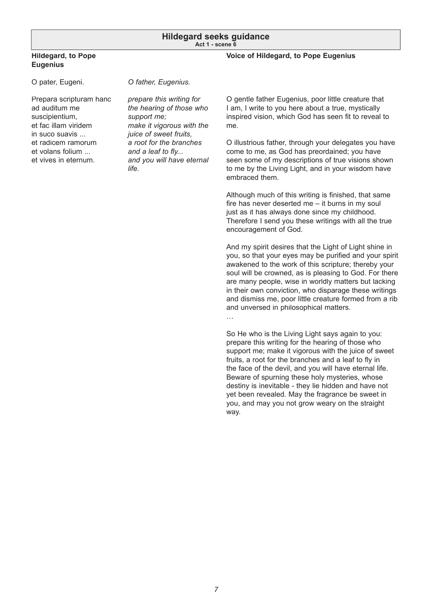#### **Hildegard seeks guidance Act 1 - scene 6**

### **Hildegard, to Pope Eugenius**

#### **Voice of Hildegard, to Pope Eugenius**

O pater, Eugeni.

*O father, Eugenius.*

Prepara scripturam hanc ad auditum me suscipientium, et fac illam viridem in suco suavis ... et radicem ramorum et volans folium ... et vives in eternum.

*prepare this writing for the hearing of those who support me; make it vigorous with the juice of sweet fruits, a root for the branches*  and a leaf to fly... *and you will have eternal life.*

O gentle father Eugenius, poor little creature that I am, I write to you here about a true, mystically inspired vision, which God has seen fit to reveal to me.

O illustrious father, through your delegates you have come to me, as God has preordained; you have seen some of my descriptions of true visions shown to me by the Living Light, and in your wisdom have embraced them.

Although much of this writing is finished, that same fire has never deserted me  $-$  it burns in my soul just as it has always done since my childhood. Therefore I send you these writings with all the true encouragement of God.

And my spirit desires that the Light of Light shine in you, so that your eyes may be purified and your spirit awakened to the work of this scripture; thereby your soul will be crowned, as is pleasing to God. For there are many people, wise in worldly matters but lacking in their own conviction, who disparage these writings and dismiss me, poor little creature formed from a rib and unversed in philosophical matters.

…

So He who is the Living Light says again to you: prepare this writing for the hearing of those who support me; make it vigorous with the juice of sweet fruits, a root for the branches and a leaf to fly in the face of the devil, and you will have eternal life. Beware of spurning these holy mysteries, whose destiny is inevitable - they lie hidden and have not yet been revealed. May the fragrance be sweet in you, and may you not grow weary on the straight way.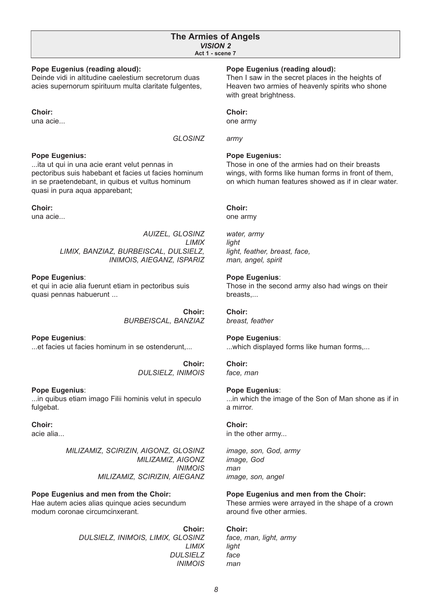#### **The Armies of Angels** *VISION 2* **Act 1 - scene 7**

#### **Pope Eugenius (reading aloud):**

Deinde vidi in altitudine caelestium secretorum duas acies supernorum spirituum multa claritate fulgentes,

**Choir:**

una acie...

*GLOSINZ*

#### **Pope Eugenius:**

...ita ut qui in una acie erant velut pennas in pectoribus suis habebant et facies ut facies hominum in se praetendebant, in quibus et vultus hominum quasi in pura aqua apparebant;

#### **Choir:**

una acie...

*AUIZEL, GLOSINZ LIMIX LIMIX, BANZIAZ, BURBEISCAL, DULSIELZ, INIMOIS, AIEGANZ, ISPARIZ*

#### **Pope Eugenius**:

et qui in acie alia fuerunt etiam in pectoribus suis quasi pennas habuerunt ...

> **Choir:** *BURBEISCAL, BANZIAZ*

**Pope Eugenius**: ...et facies ut facies hominum in se ostenderunt,...

> **Choir:** *DULSIELZ, INIMOIS*

#### **Pope Eugenius**:

...in quibus etiam imago Filii hominis velut in speculo fulgebat.

### **Choir:**

acie alia...

*MILIZAMIZ, SCIRIZIN, AIGONZ, GLOSINZ MILIZAMIZ, AIGONZ INIMOIS MILIZAMIZ, SCIRIZIN, AIEGANZ*

### **Pope Eugenius and men from the Choir:**

Hae autem acies alias quinque acies secundum modum coronae circumcinxerant.

> **Choir:** *DULSIELZ, INIMOIS, LIMIX, GLOSINZ LIMIX DULSIELZ INIMOIS*

#### **Pope Eugenius (reading aloud):**

Then I saw in the secret places in the heights of Heaven two armies of heavenly spirits who shone with great brightness.

#### **Choir:**

one army

*army*

#### **Pope Eugenius:**

Those in one of the armies had on their breasts wings, with forms like human forms in front of them, on which human features showed as if in clear water.

#### **Choir:**

one army

*water, army light light, feather, breast, face, man, angel, spirit*

#### **Pope Eugenius**:

Those in the second army also had wings on their breasts,...

**Choir:** *breast, feather*

### **Pope Eugenius**:

...which displayed forms like human forms,...

#### **Choir:**

*face, man*

#### **Pope Eugenius**:

...in which the image of the Son of Man shone as if in a mirror.

#### **Choir:**

in the other army...

*image, son, God, army image, God man image, son, angel*

#### **Pope Eugenius and men from the Choir:**

These armies were arrayed in the shape of a crown around five other armies.

**Choir:** *face, man, light, army light face man*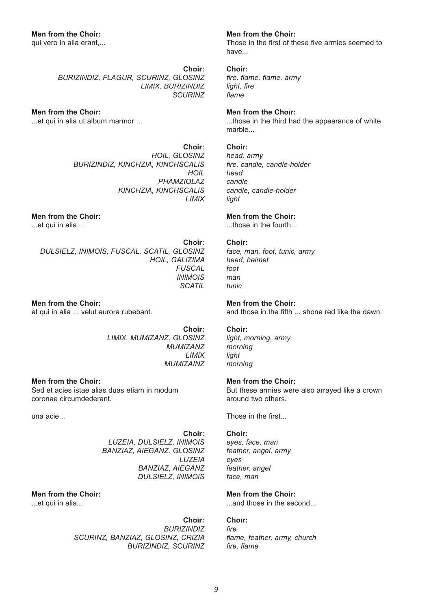qui vero in alia erant,...

**Choir:** *BURIZINDIZ, FLAGUR, SCURINZ, GLOSINZ LIMIX, BURIZINDIZ SCURINZ*

### **Men from the Choir:**

...et qui in alia ut album marmor ...

**Choir:** *HOIL, GLOSINZ BURIZINDIZ, KINCHZIA, KINCHSCALIS HOIL PHAMZIOLAZ KINCHZIA, KINCHSCALIS LIMIX*

### **Men from the Choir:**

...et qui in alia ...

**Choir:** *DULSIELZ, INIMOIS, FUSCAL, SCATIL, GLOSINZ HOIL, GALIZIMA FUSCAL INIMOIS SCATIL*

**Men from the Choir:** et qui in alia ... velut aurora rubebant.

> **Choir:** *LIMIX, MUMIZANZ, GLOSINZ MUMIZANZ LIMIX MUMIZAINZ*

**Men from the Choir:** Sed et acies istae alias duas etiam in modum coronae circumdederant.

una acie...

**Choir:** *LUZEIA, DULSIELZ, INIMOIS BANZIAZ, AIEGANZ, GLOSINZ LUZEIA BANZIAZ, AIEGANZ DULSIELZ, INIMOIS*

### **Men from the Choir:**

...et qui in alia...

**Choir:** *BURIZINDIZ SCURINZ, BANZIAZ, GLOSINZ, CRIZIA BURIZINDIZ, SCURINZ*

### **Men from the Choir:**

Those in the first of these five armies seemed to have...

#### **Choir:**

*fire, flame, flame, army light, fire fl ame*

### **Men from the Choir:**

...those in the third had the appearance of white marble...

### **Choir:**

*head, army fi re, candle, candle-holder head candle candle, candle-holder light*

### **Men from the Choir:**

...those in the fourth...

### **Choir:**

*face, man, foot, tunic, army head, helmet foot man tunic*

### **Men from the Choir:**

and those in the fifth ... shone red like the dawn.

### **Choir:**

*light, morning, army morning light morning*

### **Men from the Choir:**

But these armies were also arrayed like a crown around two others.

Those in the first...

### **Choir:**

*eyes, face, man feather, angel, army eyes feather, angel face, man*

### **Men from the Choir:**

...and those in the second...

### **Choir:**

*fi re fl ame, feather, army, church fire, flame*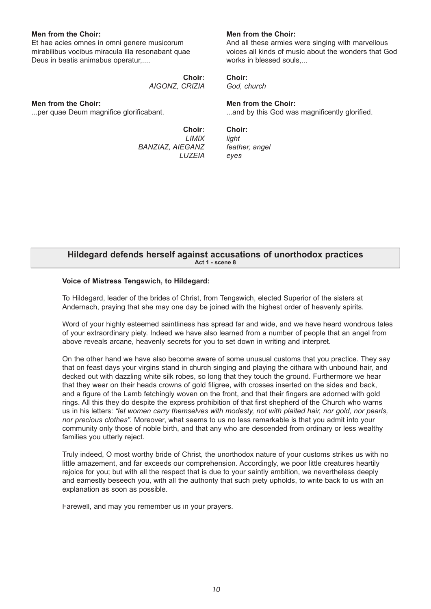#### **Men from the Choir:**

Et hae acies omnes in omni genere musicorum mirabilibus vocibus miracula illa resonabant quae Deus in beatis animabus operatur,....

> **Choir:** *AIGONZ, CRIZIA*

#### **Men from the Choir:**

...per quae Deum magnifice glorificabant.

**Choir:** *LIMIX BANZIAZ, AIEGANZ LUZEIA*

### **Men from the Choir:**

And all these armies were singing with marvellous voices all kinds of music about the wonders that God works in blessed souls,...

**Choir:**

*God, church*

### **Men from the Choir:**

...and by this God was magnificently glorified.

**Choir:** *light feather, angel eyes*

#### **Hildegard defends herself against accusations of unorthodox practices Act 1 - scene 8**

#### **Voice of Mistress Tengswich, to Hildegard:**

To Hildegard, leader of the brides of Christ, from Tengswich, elected Superior of the sisters at Andernach, praying that she may one day be joined with the highest order of heavenly spirits.

Word of your highly esteemed saintliness has spread far and wide, and we have heard wondrous tales of your extraordinary piety. Indeed we have also learned from a number of people that an angel from above reveals arcane, heavenly secrets for you to set down in writing and interpret.

On the other hand we have also become aware of some unusual customs that you practice. They say that on feast days your virgins stand in church singing and playing the cithara with unbound hair, and decked out with dazzling white silk robes, so long that they touch the ground. Furthermore we hear that they wear on their heads crowns of gold filigree, with crosses inserted on the sides and back, and a figure of the Lamb fetchingly woven on the front, and that their fingers are adorned with gold rings. All this they do despite the express prohibition of that first shepherd of the Church who warns us in his letters: *"let women carry themselves with modesty, not with plaited hair, nor gold, nor pearls, nor precious clothes".* Moreover, what seems to us no less remarkable is that you admit into your community only those of noble birth, and that any who are descended from ordinary or less wealthy families you utterly reject.

Truly indeed, O most worthy bride of Christ, the unorthodox nature of your customs strikes us with no little amazement, and far exceeds our comprehension. Accordingly, we poor little creatures heartily rejoice for you; but with all the respect that is due to your saintly ambition, we nevertheless deeply and earnestly beseech you, with all the authority that such piety upholds, to write back to us with an explanation as soon as possible.

Farewell, and may you remember us in your prayers.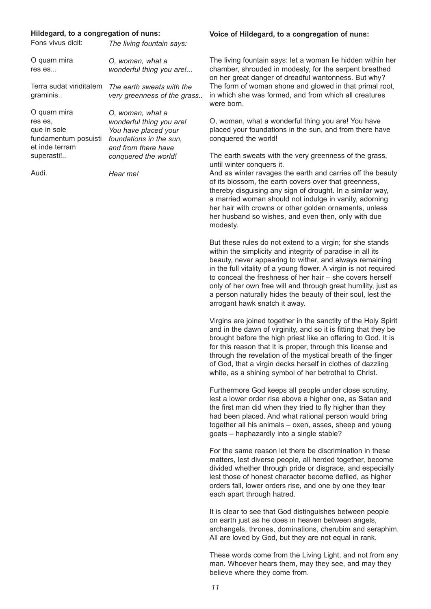#### **Hildegard, to a congregation of nuns:**

| Fons vivus dicit:       | The living fountain says:   |
|-------------------------|-----------------------------|
| O quam mira             | O, woman, what a            |
| res es                  | wonderful thing you are!    |
| Terra sudat viriditatem | The earth sweats with the   |
| graminis                | very greenness of the grass |
| O quam mira             | O, woman, what a            |
| res es.                 | wonderful thing you are!    |
| que in sole             | You have placed your        |
| fundamentum posuisti    | foundations in the sun.     |
| et inde terram          | and from there have         |
| superasti!              | conquered the world!        |
| Audi.                   | Hear me!                    |

#### **Voice of Hildegard, to a congregation of nuns:**

The living fountain says: let a woman lie hidden within her chamber, shrouded in modesty, for the serpent breathed on her great danger of dreadful wantonness. But why? The form of woman shone and glowed in that primal root, in which she was formed, and from which all creatures were born.

O, woman, what a wonderful thing you are! You have placed your foundations in the sun, and from there have conquered the world!

The earth sweats with the very greenness of the grass, until winter conquers it.

And as winter ravages the earth and carries off the beauty of its blossom, the earth covers over that greenness, thereby disguising any sign of drought. In a similar way, a married woman should not indulge in vanity, adorning her hair with crowns or other golden ornaments, unless her husband so wishes, and even then, only with due modesty.

But these rules do not extend to a virgin; for she stands within the simplicity and integrity of paradise in all its beauty, never appearing to wither, and always remaining in the full vitality of a young flower. A virgin is not required to conceal the freshness of her hair – she covers herself only of her own free will and through great humility, just as a person naturally hides the beauty of their soul, lest the arrogant hawk snatch it away.

Virgins are joined together in the sanctity of the Holy Spirit and in the dawn of virginity, and so it is fitting that they be brought before the high priest like an offering to God. It is for this reason that it is proper, through this license and through the revelation of the mystical breath of the finger of God, that a virgin decks herself in clothes of dazzling white, as a shining symbol of her betrothal to Christ.

Furthermore God keeps all people under close scrutiny, lest a lower order rise above a higher one, as Satan and the first man did when they tried to fly higher than they had been placed. And what rational person would bring together all his animals – oxen, asses, sheep and young goats – haphazardly into a single stable?

For the same reason let there be discrimination in these matters, lest diverse people, all herded together, become divided whether through pride or disgrace, and especially lest those of honest character become defiled, as higher orders fall, lower orders rise, and one by one they tear each apart through hatred.

It is clear to see that God distinguishes between people on earth just as he does in heaven between angels, archangels, thrones, dominations, cherubim and seraphim. All are loved by God, but they are not equal in rank.

These words come from the Living Light, and not from any man. Whoever hears them, may they see, and may they believe where they come from.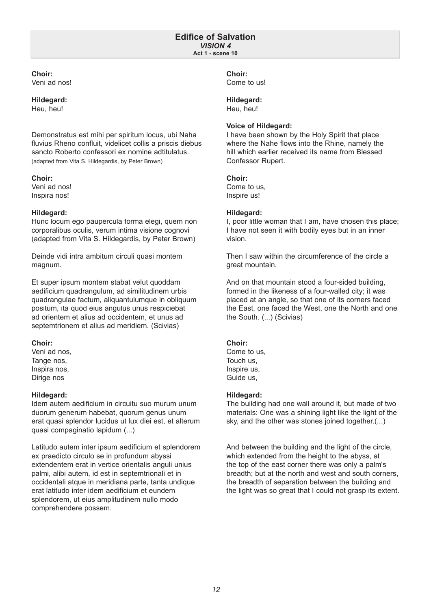#### **Edifice of Salvation** *VISION 4* **Act 1 - scene 10**

#### **Choir:** Veni ad nos!

### **Hildegard:**

Heu, heu!

Demonstratus est mihi per spiritum locus, ubi Naha fluvius Rheno confluit, videlicet collis a priscis diebus sancto Roberto confessori ex nomine adtitulatus. (adapted from Vita S. Hildegardis, by Peter Brown)

### **Choir:**

Veni ad nos! Inspira nos!

### **Hildegard:**

Hunc locum ego paupercula forma elegi, quem non corporalibus oculis, verum intima visione cognovi (adapted from Vita S. Hildegardis, by Peter Brown)

Deinde vidi intra ambitum circuli quasi montem magnum.

Et super ipsum montem stabat velut quoddam aedificium quadrangulum, ad similitudinem urbis quadrangulae factum, aliquantulumque in obliquum positum, ita quod eius angulus unus respiciebat ad orientem et alius ad occidentem, et unus ad septemtrionem et alius ad meridiem. (Scivias)

### **Choir:**

Veni ad nos, Tange nos, Inspira nos, Dirige nos

### **Hildegard:**

Idem autem aedificium in circuitu suo murum unum duorum generum habebat, quorum genus unum erat quasi splendor lucidus ut lux diei est, et alterum quasi compaginatio lapidum (...)

Latitudo autem inter ipsum aedificium et splendorem ex praedicto circulo se in profundum abyssi extendentem erat in vertice orientalis anguli unius palmi, alibi autem, id est in septemtrionali et in occidentali atque in meridiana parte, tanta undique erat latitudo inter idem aedificium et eundem splendorem, ut eius amplitudinem nullo modo comprehendere possem.

### **Choir:**

Come to us!

### **Hildegard:**

Heu, heu!

### **Voice of Hildegard:**

I have been shown by the Holy Spirit that place where the Nahe flows into the Rhine, namely the hill which earlier received its name from Blessed Confessor Rupert.

### **Choir:**

Come to us, Inspire us!

### **Hildegard:**

I, poor little woman that I am, have chosen this place; I have not seen it with bodily eyes but in an inner vision.

Then I saw within the circumference of the circle a great mountain.

And on that mountain stood a four-sided building, formed in the likeness of a four-walled city; it was placed at an angle, so that one of its corners faced the East, one faced the West, one the North and one the South. (...) (Scivias)

### **Choir:**

Come to us, Touch us, Inspire us, Guide us,

### **Hildegard:**

The building had one wall around it, but made of two materials: One was a shining light like the light of the sky, and the other was stones joined together.(...)

And between the building and the light of the circle, which extended from the height to the abyss, at the top of the east corner there was only a palm's breadth; but at the north and west and south corners, the breadth of separation between the building and the light was so great that I could not grasp its extent.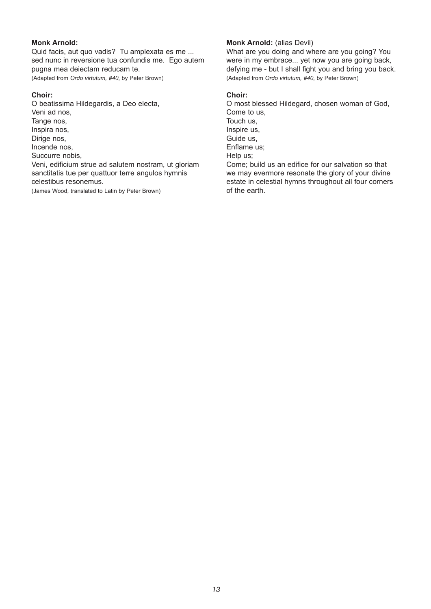### **Monk Arnold:**

Quid facis, aut quo vadis? Tu amplexata es me ... sed nunc in reversione tua confundis me. Ego autem pugna mea deiectam reducam te. (Adapted from *Ordo virtutum, #40*, by Peter Brown)

#### **Choir:**

O beatissima Hildegardis, a Deo electa, Veni ad nos, Tange nos, Inspira nos, Dirige nos, Incende nos, Succurre nobis, Veni, edificium strue ad salutem nostram, ut gloriam sanctitatis tue per quattuor terre angulos hymnis celestibus resonemus. (James Wood, translated to Latin by Peter Brown)

### **Monk Arnold:** (alias Devil)

What are you doing and where are you going? You were in my embrace... yet now you are going back, defying me - but I shall fight you and bring you back. (Adapted from *Ordo virtutum, #40*, by Peter Brown)

#### **Choir:**

O most blessed Hildegard, chosen woman of God, Come to us, Touch us, Inspire us, Guide us, Enflame us; Help us: Come: build us an edifice for our salvation so that we may evermore resonate the glory of your divine estate in celestial hymns throughout all four corners of the earth.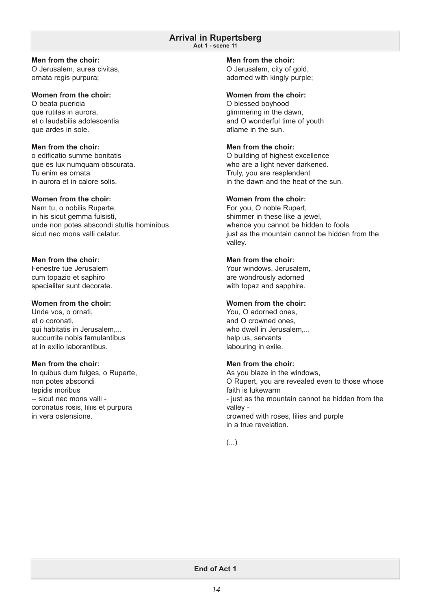#### **Arrival in Rupertsberg Act 1 - scene 11**

#### **Men from the choir:**

O Jerusalem, aurea civitas, ornata regis purpura;

#### **Women from the choir:**

O beata puericia que rutilas in aurora, et o laudabilis adolescentia que ardes in sole.

### **Men from the choir:**

o edificatio summe bonitatis que es lux numquam obscurata. Tu enim es ornata in aurora et in calore solis.

#### **Women from the choir:**

Nam tu, o nobilis Ruperte, in his sicut gemma fulsisti, unde non potes abscondi stultis hominibus sicut nec mons valli celatur.

### **Men from the choir:**

Fenestre tue Jerusalem cum topazio et saphiro specialiter sunt decorate.

### **Women from the choir:**

Unde vos, o ornati, et o coronati, qui habitatis in Jerusalem,... succurrite nobis famulantibus et in exilio laborantibus.

### **Men from the choir:**

In quibus dum fulges, o Ruperte, non potes abscondi tepidis moribus -- sicut nec mons valli coronatus rosis, liliis et purpura in vera ostensione.

### **Men from the choir:**

O Jerusalem, city of gold, adorned with kingly purple;

#### **Women from the choir:**

O blessed boyhood glimmering in the dawn, and O wonderful time of youth aflame in the sun.

### **Men from the choir:**

O building of highest excellence who are a light never darkened. Truly, you are resplendent in the dawn and the heat of the sun.

### **Women from the choir:**

For you, O noble Rupert, shimmer in these like a jewel, whence you cannot be hidden to fools just as the mountain cannot be hidden from the valley.

### **Men from the choir:**

Your windows, Jerusalem, are wondrously adorned with topaz and sapphire.

### **Women from the choir:**

You, O adorned ones, and O crowned ones, who dwell in Jerusalem.... help us, servants labouring in exile.

### **Men from the choir:**

As you blaze in the windows, O Rupert, you are revealed even to those whose faith is lukewarm - just as the mountain cannot be hidden from the valley crowned with roses, lilies and purple in a true revelation.

### (...)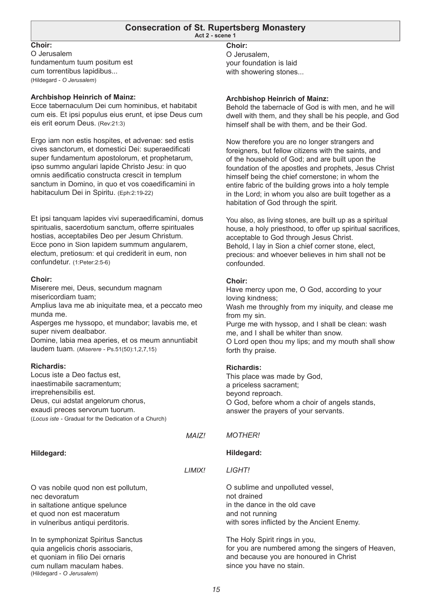#### **Consecration of St. Rupertsberg Monastery Act 2 - scene 1**

### **Choir:**

O Jerusalem fundamentum tuum positum est cum torrentibus lapidibus... (Hildegard - *O Jerusalem*)

### **Archbishop Heinrich of Mainz:**

Ecce tabernaculum Dei cum hominibus, et habitabit cum eis. Et ipsi populus eius erunt, et ipse Deus cum eis erit eorum Deus. (Rev:21:3)

Ergo iam non estis hospites, et advenae: sed estis cives sanctorum, et domestici Dei: superaedificati super fundamentum apostolorum, et prophetarum, ipso summo angulari lapide Christo Jesu: in quo omnis aedificatio constructa crescit in templum sanctum in Domino, in quo et vos coaedificamini in habitaculum Dei in Spiritu. (Eph:2:19-22)

Et ipsi tanquam lapides vivi superaedificamini, domus spiritualis, sacerdotium sanctum, offerre spirituales hostias, acceptabiles Deo per Jesum Christum. Ecce pono in Sion lapidem summum angularem, electum, pretiosum: et qui crediderit in eum, non confundetur. (1:Peter:2:5-6)

#### **Choir:**

Miserere mei, Deus, secundum magnam misericordiam tuam;

Amplius lava me ab iniquitate mea, et a peccato meo munda me.

Asperges me hyssopo, et mundabor; lavabis me, et super nivem dealbabor.

Domine, labia mea aperies, et os meum annuntiabit laudem tuam. (*Miserere -* Ps.51(50):1,2,7,15)

### **Richardis:**

Locus iste a Deo factus est, inaestimabile sacramentum; irreprehensibilis est. Deus, cui adstat angelorum chorus, exaudi preces servorum tuorum. (*Locus iste -* Gradual for the Dedication of a Church)

**Hildegard:**

*LIMIX!*

*MAIZ!*

O vas nobile quod non est pollutum,

nec devoratum

in saltatione antique spelunce

et quod non est maceratum in vulneribus antiqui perditoris.

In te symphonizat Spiritus Sanctus quia angelicis choris associaris, et quoniam in filio Dei ornaris cum nullam maculam habes. (Hildegard - *O Jerusalem*)

### **Choir:**

O Jerusalem, your foundation is laid with showering stones...

#### **Archbishop Heinrich of Mainz:**

Behold the tabernacle of God is with men, and he will dwell with them, and they shall be his people, and God himself shall be with them, and be their God.

Now therefore you are no longer strangers and foreigners, but fellow citizens with the saints, and of the household of God; and are built upon the foundation of the apostles and prophets, Jesus Christ himself being the chief cornerstone; in whom the entire fabric of the building grows into a holy temple in the Lord; in whom you also are built together as a habitation of God through the spirit.

You also, as living stones, are built up as a spiritual house, a holy priesthood, to offer up spiritual sacrifices, acceptable to God through Jesus Christ. Behold, I lay in Sion a chief corner stone, elect, precious: and whoever believes in him shall not be confounded.

#### **Choir:**

Have mercy upon me, O God, according to your loving kindness; Wash me throughly from my iniquity, and clease me from my sin. Purge me with hyssop, and I shall be clean: wash me, and I shall be whiter than snow. O Lord open thou my lips; and my mouth shall show forth thy praise.

### **Richardis:**

This place was made by God, a priceless sacrament; beyond reproach. O God, before whom a choir of angels stands, answer the prayers of your servants.

#### *MOTHER!*

#### **Hildegard:**

*LIGHT!*

O sublime and unpolluted vessel, not drained in the dance in the old cave and not running with sores inflicted by the Ancient Enemy.

The Holy Spirit rings in you, for you are numbered among the singers of Heaven, and because you are honoured in Christ since you have no stain.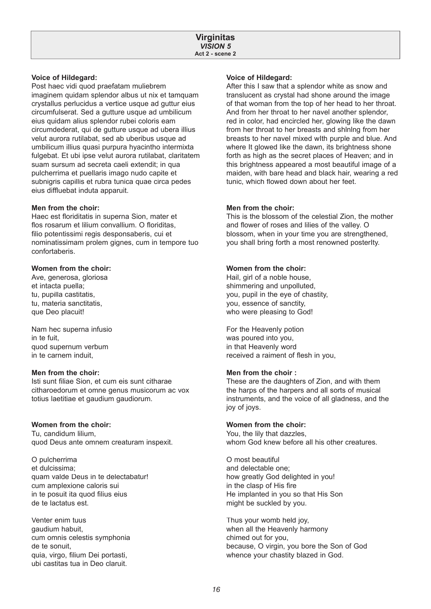#### **Voice of Hildegard:**

Post haec vidi quod praefatam muliebrem imaginem quidam splendor albus ut nix et tamquam crystallus perlucidus a vertice usque ad guttur eius circumfulserat. Sed a gutture usque ad umbilicum eius quidam alius splendor rubei coloris eam circumdederat, qui de gutture usque ad ubera illius velut aurora rutilabat, sed ab uberibus usque ad umbilicum illius quasi purpura hyacintho intermixta fulgebat. Et ubi ipse velut aurora rutilabat, claritatem suam sursum ad secreta caeli extendit; in qua pulcherrima et puellaris imago nudo capite et subnigris capillis et rubra tunica quae circa pedes eius diffluebat induta apparuit.

#### **Men from the choir:**

Haec est floriditatis in superna Sion, mater et flos rosarum et lilium convallium. O floriditas, filio potentissimi regis desponsaberis, cui et nominatissimam prolem gignes, cum in tempore tuo confortaberis.

### **Women from the choir:**

Ave, generosa, gloriosa et intacta puella; tu, pupilla castitatis, tu, materia sanctitatis, que Deo placuit!

Nam hec superna infusio in te fuit, quod supernum verbum in te carnem induit,

#### **Men from the choir:**

Isti sunt filiae Sion, et cum eis sunt citharae citharoedorum et omne genus musicorum ac vox totius laetitiae et gaudium gaudiorum.

#### **Women from the choir:**

Tu, candidum lilium, quod Deus ante omnem creaturam inspexit.

O pulcherrima et dulcissima; quam valde Deus in te delectabatur! cum amplexione caloris sui in te posuit ita quod filius eius de te lactatus est.

Venter enim tuus gaudium habuit, cum omnis celestis symphonia de te sonuit, quia, virgo, filium Dei portasti, ubi castitas tua in Deo claruit.

#### **Voice of Hildegard:**

After this I saw that a splendor white as snow and translucent as crystal had shone around the image of that woman from the top of her head to her throat. And from her throat to her navel another splendor, red in color, had encircled her, glowing like the dawn from her throat to her breasts and shlnlng from her breasts to her navel mixed wIth purple and blue. And where It glowed like the dawn, its brightness shone forth as high as the secret places of Heaven; and in this brightness appeared a most beautiful image of a maiden, with bare head and black hair, wearing a red tunic, which flowed down about her feet.

#### **Men from the choir:**

This is the blossom of the celestial Zion, the mother and flower of roses and lilies of the valley. O blossom, when in your time you are strengthened, you shall bring forth a most renowned posterIty.

### **Women from the choir:**

Hail, girl of a noble house, shimmering and unpolluted, you, pupil in the eye of chastity, you, essence of sanctity, who were pleasing to God!

For the Heavenly potion was poured into you, in that Heavenly word received a raiment of flesh in you,

#### **Men from the choir :**

These are the daughters of Zion, and with them the harps of the harpers and all sorts of musical instruments, and the voice of all gladness, and the joy of joys.

#### **Women from the choir:**

You, the lily that dazzles, whom God knew before all his other creatures.

O most beautiful and delectable one; how greatly God delighted in you! in the clasp of His fire He implanted in you so that His Son might be suckled by you.

Thus your womb held joy, when all the Heavenly harmony chimed out for you, because, O virgin, you bore the Son of God whence your chastity blazed in God.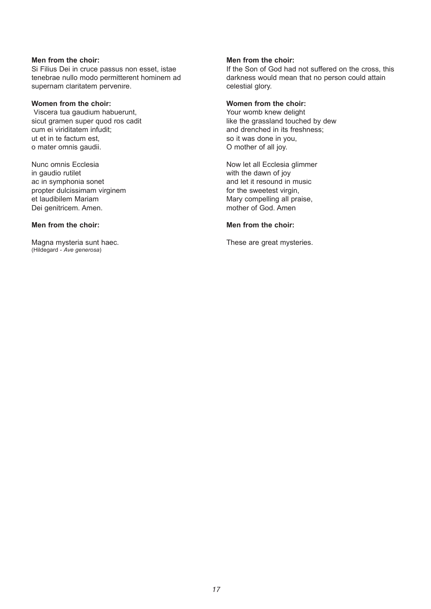### **Men from the choir:**

Si Filius Dei in cruce passus non esset, istae tenebrae nullo modo permitterent hominem ad supernam claritatem pervenire.

#### **Women from the choir:**

 Viscera tua gaudium habuerunt, sicut gramen super quod ros cadit cum ei viriditatem infudit; ut et in te factum est, o mater omnis gaudii.

Nunc omnis Ecclesia in gaudio rutilet ac in symphonia sonet propter dulcissimam virginem et laudibilem Mariam Dei genitricem. Amen.

### **Men from the choir:**

Magna mysteria sunt haec. (Hildegard - *Ave generosa*)

### **Men from the choir:**

If the Son of God had not suffered on the cross, this darkness would mean that no person could attain celestial glory.

#### **Women from the choir:**

Your womb knew delight like the grassland touched by dew and drenched in its freshness; so it was done in you, O mother of all joy.

Now let all Ecclesia glimmer with the dawn of joy and let it resound in music for the sweetest virgin, Mary compelling all praise, mother of God. Amen

#### **Men from the choir:**

These are great mysteries.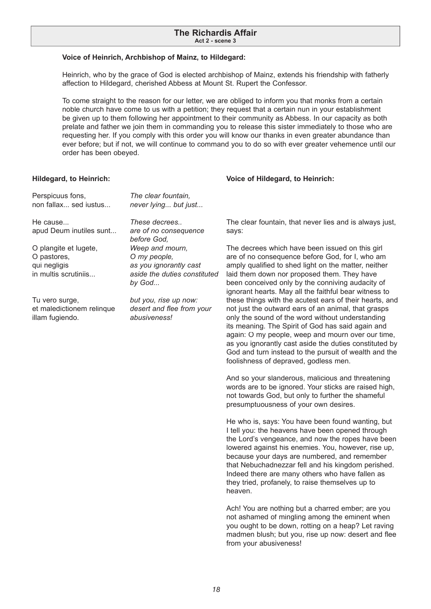#### **Voice of Heinrich, Archbishop of Mainz, to Hildegard:**

Heinrich, who by the grace of God is elected archbishop of Mainz, extends his friendship with fatherly affection to Hildegard, cherished Abbess at Mount St. Rupert the Confessor.

To come straight to the reason for our letter, we are obliged to inform you that monks from a certain noble church have come to us with a petition; they request that a certain nun in your establishment be given up to them following her appointment to their community as Abbess. In our capacity as both prelate and father we join them in commanding you to release this sister immediately to those who are requesting her. If you comply with this order you will know our thanks in even greater abundance than ever before; but if not, we will continue to command you to do so with ever greater vehemence until our order has been obeyed.

#### **Hildegard, to Heinrich:**

| Perspicuus fons,<br>non fallax sed iustus                                    | The clear fountain,<br>never lying but just                                                         |                               |
|------------------------------------------------------------------------------|-----------------------------------------------------------------------------------------------------|-------------------------------|
| He cause<br>apud Deum inutiles sunt                                          | These decrees<br>are of no consequence<br>before God,                                               | Τ<br>S                        |
| O plangite et lugete,<br>O pastores,<br>qui negligis<br>in multis scrutiniis | Weep and mourn,<br>O my people,<br>as you ignorantly cast<br>aside the duties constituted<br>by God | т<br>a<br>a<br>la<br>b١<br>ig |
| Tu vero surge,<br>et maledictionem relinque<br>illam fugiendo.               | but you, rise up now:<br>desert and flee from your<br>abusiveness!                                  | th<br>n<br>O<br>its<br>a      |

#### **Voice of Hildegard, to Heinrich:**

he clear fountain, that never lies and is always just, ays:

he decrees which have been issued on this girl re of no consequence before God, for I, who am mply qualified to shed light on the matter, neither aid them down nor proposed them. They have een conceived only by the conniving audacity of ignorant hearts. May all the faithful bear witness to these things with the acutest ears of their hearts, and ot just the outward ears of an animal, that grasps nly the sound of the word without understanding s meaning. The Spirit of God has said again and again: O my people, weep and mourn over our time, as you ignorantly cast aside the duties constituted by God and turn instead to the pursuit of wealth and the foolishness of depraved, godless men.

And so your slanderous, malicious and threatening words are to be ignored. Your sticks are raised high, not towards God, but only to further the shameful presumptuousness of your own desires.

He who is, says: You have been found wanting, but I tell you: the heavens have been opened through the Lord's vengeance, and now the ropes have been lowered against his enemies. You, however, rise up, because your days are numbered, and remember that Nebuchadnezzar fell and his kingdom perished. Indeed there are many others who have fallen as they tried, profanely, to raise themselves up to heaven.

Ach! You are nothing but a charred ember; are you not ashamed of mingling among the eminent when you ought to be down, rotting on a heap? Let raving madmen blush; but you, rise up now: desert and flee from your abusiveness!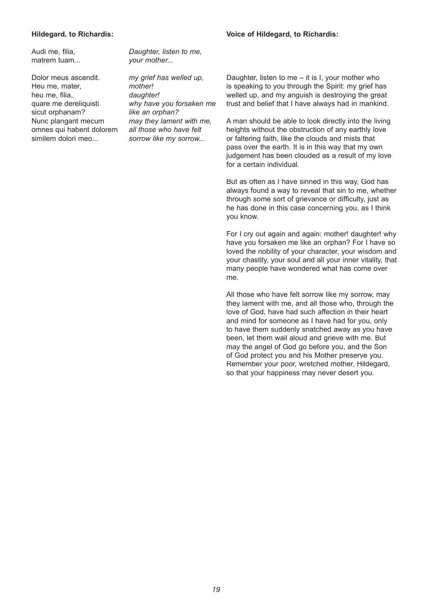### **Voice of Hildegard, to Richardis:**

#### **Hildegard, to Richardis:**

Audi me, filia, matrem tuam...

Dolor meus ascendit. Heu me, mater, heu me, filia, quare me dereliquisti sicut orphanam? Nunc plangant mecum omnes qui habent dolorem similem dolori meo...

*Daughter, listen to me, your mother...*

*my grief has welled up, mother! daughter! why have you forsaken me like an orphan? may they lament with me, all those who have felt sorrow like my sorrow...*

Daughter, listen to me – it is I, your mother who is speaking to you through the Spirit: my grief has welled up, and my anguish is destroying the great trust and belief that I have always had in mankind.

A man should be able to look directly into the living heights without the obstruction of any earthly love or faltering faith, like the clouds and mists that pass over the earth. It is in this way that my own judgement has been clouded as a result of my love for a certain individual.

But as often as I have sinned in this way, God has always found a way to reveal that sin to me, whether through some sort of grievance or difficulty, just as he has done in this case concerning you, as I think you know.

For I cry out again and again: mother! daughter! why have you forsaken me like an orphan? For I have so loved the nobility of your character, your wisdom and your chastity, your soul and all your inner vitality, that many people have wondered what has come over me.

All those who have felt sorrow like my sorrow, may they lament with me, and all those who, through the love of God, have had such affection in their heart and mind for someone as I have had for you, only to have them suddenly snatched away as you have been, let them wail aloud and grieve with me. But may the angel of God go before you, and the Son of God protect you and his Mother preserve you. Remember your poor, wretched mother, Hildegard, so that your happiness may never desert you.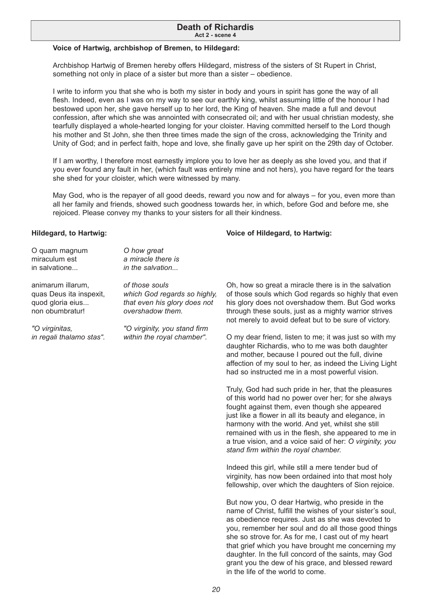#### **Death of Richardis Act 2 - scene 4**

#### **Voice of Hartwig, archbishop of Bremen, to Hildegard:**

Archbishop Hartwig of Bremen hereby offers Hildegard, mistress of the sisters of St Rupert in Christ, something not only in place of a sister but more than a sister – obedience.

I write to inform you that she who is both my sister in body and yours in spirit has gone the way of all flesh. Indeed, even as I was on my way to see our earthly king, whilst assuming little of the honour I had bestowed upon her, she gave herself up to her lord, the King of heaven. She made a full and devout confession, after which she was annointed with consecrated oil; and with her usual christian modesty, she tearfully displayed a whole-hearted longing for your cloister. Having committed herself to the Lord though his mother and St John, she then three times made the sign of the cross, acknowledging the Trinity and Unity of God; and in perfect faith, hope and love, she finally gave up her spirit on the 29th day of October.

If I am worthy, I therefore most earnestly implore you to love her as deeply as she loved you, and that if you ever found any fault in her, (which fault was entirely mine and not hers), you have regard for the tears she shed for your cloister, which were witnessed by many.

May God, who is the repayer of all good deeds, reward you now and for always – for you, even more than all her family and friends, showed such goodness towards her, in which, before God and before me, she rejoiced. Please convey my thanks to your sisters for all their kindness.

#### **Hildegard, to Hartwig:**

| O quam magnum<br>miraculum est<br>in salvatione                                     | O how great<br>a miracle there is<br>in the salvation                                              |                                                                                                                                                                                                                                                                                         |
|-------------------------------------------------------------------------------------|----------------------------------------------------------------------------------------------------|-----------------------------------------------------------------------------------------------------------------------------------------------------------------------------------------------------------------------------------------------------------------------------------------|
| animarum illarum,<br>quas Deus ita inspexit,<br>quod gloria eius<br>non obumbratur! | of those souls<br>which God regards so highly,<br>that even his glory does not<br>overshadow them. | Oh, how so great a miracle<br>of those souls which God r<br>his glory does not overshad<br>through these souls, just as<br>not merely to avoid defeat                                                                                                                                   |
| "O virginitas,<br>in regali thalamo stas".                                          | "O virginity, you stand firm<br>within the royal chamber".                                         | O my dear friend, listen to<br>daughter Richardis, who to<br>and mother, because I pou<br>affection of my soul to her,<br>had so instructed me in a r                                                                                                                                   |
|                                                                                     |                                                                                                    | Truly, God had such pride i<br>of this world had no power<br>fought against them, even<br>just like a flower in all its be<br>harmony with the world. An<br>remained with us in the fles<br>a true vision, and a voice s<br>stand firm within the royal o                               |
|                                                                                     | Indeed this girl, while still a<br>virginity, has now been ord<br>fellowship, over which the o     |                                                                                                                                                                                                                                                                                         |
|                                                                                     |                                                                                                    | But now you, O dear Hartw<br>name of Christ, fulfill the wi<br>as obedience requires. Jus<br>you, remember her soul an<br>she so strove for. As for me<br>that grief which you have b<br>daughter. In the full concore<br>grant you the dew of his gr<br>in the life of the world to co |

there is in the salvation egards so highly that even dow them. But God works s a mighty warrior strives but to be sure of victory.

**Voice of Hildegard, to Hartwig:**

me; it was just so with my me was both daughter red out the full, divine as indeed the Living Light most powerful vision.

in her, that the pleasures over her; for she always though she appeared eauty and elegance, in nd vet, whilst she still sh, she appeared to me in aid of her: *O virginity, you stand fi rm within the royal chamber.*

mere tender bud of ained into that most holy daughters of Sion rejoice.

vig, who preside in the ishes of your sister's soul, at as she was devoted to d do all those good things e. I cast out of my heart rought me concerning my d of the saints, may God ace, and blessed reward in the life of the world to come.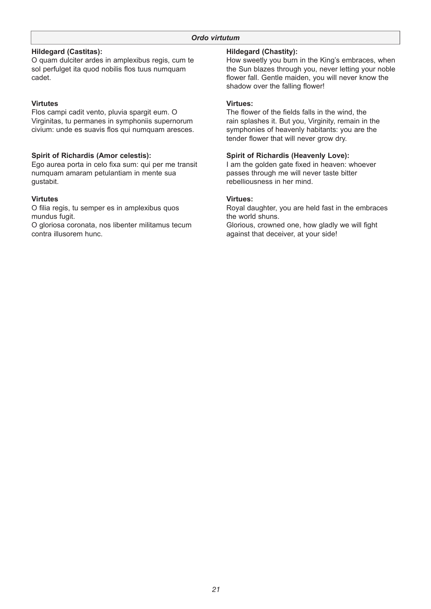### **Hildegard (Castitas):**

O quam dulciter ardes in amplexibus regis, cum te sol perfulget ita quod nobilis flos tuus numquam cadet.

### **Virtutes**

Flos campi cadit vento, pluvia spargit eum. O Virginitas, tu permanes in symphoniis supernorum civium: unde es suavis flos qui numquam aresces.

### **Spirit of Richardis (Amor celestis):**

Ego aurea porta in celo fixa sum: qui per me transit numquam amaram petulantiam in mente sua gustabit.

### **Virtutes**

O filia regis, tu semper es in amplexibus quos mundus fugit.

O gloriosa coronata, nos libenter militamus tecum contra illusorem hunc.

### **Hildegard (Chastity):**

How sweetly you burn in the King's embraces, when the Sun blazes through you, never letting your noble flower fall. Gentle maiden, you will never know the shadow over the falling flower!

### **Virtues:**

The flower of the fields falls in the wind, the rain splashes it. But you, Virginity, remain in the symphonies of heavenly habitants: you are the tender flower that will never grow dry.

### **Spirit of Richardis (Heavenly Love):**

I am the golden gate fixed in heaven: whoever passes through me will never taste bitter rebelliousness in her mind.

### **Virtues:**

Royal daughter, you are held fast in the embraces the world shuns. Glorious, crowned one, how gladly we will fight against that deceiver, at your side!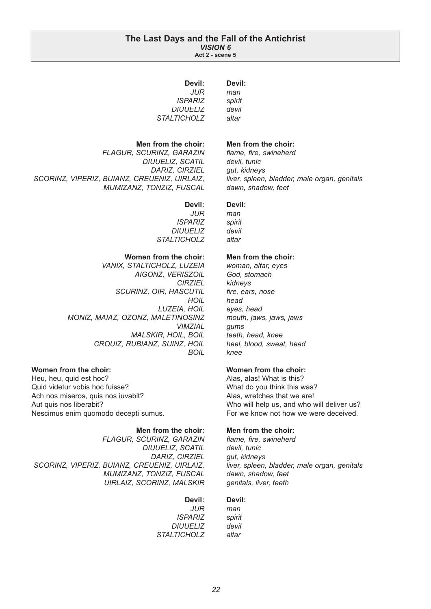#### **The Last Days and the Fall of the Antichrist** *VISION 6* **Act 2 - scene 5**

**Devil:** *man spirit devil altar*

| Devil:             |  |
|--------------------|--|
| .II IR             |  |
| <i>ISPARIZ</i>     |  |
| DIUUELIZ           |  |
| <i>STALTICHOLZ</i> |  |
|                    |  |

**Men from the choir:**

 *FLAGUR, SCURINZ, GARAZIN DIUUELIZ, SCATIL DARIZ, CIRZIEL SCORINZ, VIPERIZ, BUIANZ, CREUENIZ, UIRLAIZ, MUMIZANZ, TONZIZ, FUSCAL*

**Devil:**

*JUR ISPARIZ DIUUELIZ STALTICHOLZ*

### **Women from the choir:**

 *VANIX, STALTICHOLZ, LUZEIA AIGONZ, VERISZOIL CIRZIEL SCURINZ, OIR, HASCUTIL HOIL LUZEIA, HOIL MONIZ, MAIAZ, OZONZ, MALETINOSINZ VIMZIAL MALSKIR, HOIL, BOIL CROUIZ, RUBIANZ, SUINZ, HOIL BOIL*

### **Women from the choir:**

Heu, heu, quid est hoc? Quid videtur vobis hoc fuisse? Ach nos miseros, quis nos iuvabit? Aut quis nos liberabit? Nescimus enim quomodo decepti sumus.

**Men from the choir:**  *FLAGUR, SCURINZ, GARAZIN DIUUELIZ, SCATIL DARIZ, CIRZIEL SCORINZ, VIPERIZ, BUIANZ, CREUENIZ, UIRLAIZ, MUMIZANZ, TONZIZ, FUSCAL UIRLAIZ, SCORINZ, MALSKIR*

#### **Devil:**

*JUR ISPARIZ DIUUELIZ STALTICHOLZ*

### **Men from the choir:**

flame, fire, swineherd *devil, tunic gut, kidneys liver, spleen, bladder, male organ, genitals dawn, shadow, feet*

#### **Devil:**

*man spirit devil altar*

#### **Men from the choir:**

*woman, altar, eyes God, stomach kidneys* fire, ears, nose *head eyes, head mouth, jaws, jaws, jaws gums teeth, head, knee heel, blood, sweat, head knee*

#### **Women from the choir:**

Alas, alas! What is this? What do you think this was? Alas, wretches that we are! Who will help us, and who will deliver us? For we know not how we were deceived.

### **Men from the choir:**

flame, fire, swineherd *devil, tunic gut, kidneys liver, spleen, bladder, male organ, genitals dawn, shadow, feet genitals, liver, teeth*

#### **Devil:**

*man spirit devil altar*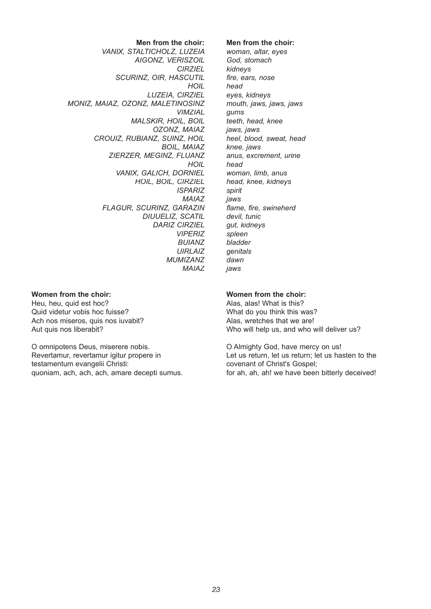**Men from the choir:** *VANIX, STALTICHOLZ, LUZEIA AIGONZ, VERISZOIL CIRZIEL SCURINZ, OIR, HASCUTIL HOIL LUZEIA, CIRZIEL MONIZ, MAIAZ, OZONZ, MALETINOSINZ VIMZIAL MALSKIR, HOIL, BOIL OZONZ, MAIAZ CROUIZ, RUBIANZ, SUINZ, HOIL BOIL, MAIAZ ZIERZER, MEGINZ, FLUANZ HOIL VANIX, GALICH, DORNIEL HOIL, BOIL, CIRZIEL ISPARIZ MAIAZ FLAGUR, SCURINZ, GARAZIN DIUUELIZ, SCATIL DARIZ CIRZIEL VIPERIZ BUIANZ UIRLAIZ MUMIZANZ MAIAZ*

#### **Women from the choir:**

Heu, heu, quid est hoc? Quid videtur vobis hoc fuisse? Ach nos miseros, quis nos iuvabit? Aut quis nos liberabit?

O omnipotens Deus, miserere nobis. Revertamur, revertamur igitur propere in testamentum evangelii Christi: quoniam, ach, ach, ach, amare decepti sumus.

#### **Men from the choir:**

*woman, altar, eyes God, stomach kidneys fi re, ears, nose head eyes, kidneys mouth, jaws, jaws, jaws gums teeth, head, knee jaws, jaws heel, blood, sweat, head knee, jaws anus, excrement, urine head woman, limb, anus head, knee, kidneys spirit jaws flame, fire, swineherd devil, tunic gut, kidneys spleen bladder genitals dawn jaws*

#### **Women from the choir:**

Alas, alas! What is this? What do you think this was? Alas, wretches that we are! Who will help us, and who will deliver us?

O Almighty God, have mercy on us! Let us return, let us return; let us hasten to the covenant of Christ's Gospel; for ah, ah, ah! we have been bitterly deceived!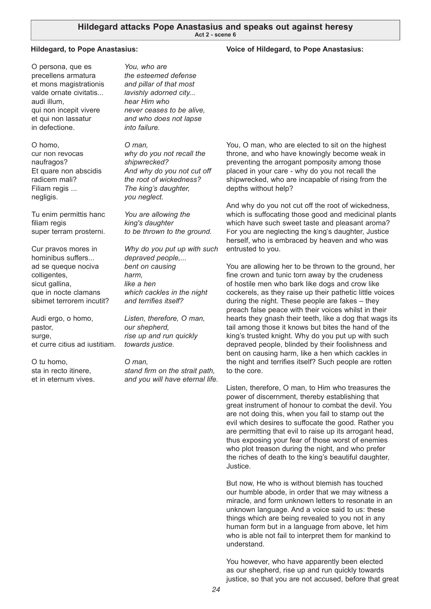#### **Hildegard, to Pope Anastasius:**

O persona, que es precellens armatura et mons magistrationis valde ornate civitatis... audi illum, qui non incepit vivere et qui non lassatur in defectione.

O homo, cur non revocas naufragos? Et quare non abscidis radicem mali? Filiam regis ... negligis.

Tu enim permittis hanc filiam regis super terram prosterni.

Cur pravos mores in hominibus suffers... ad se queque nociva colligentes, sicut gallina, que in nocte clamans sibimet terrorem incutit?

Audi ergo, o homo, pastor, surge, et curre citius ad iustitiam.

O tu homo, sta in recto itinere, et in eternum vives.

*You, who are the esteemed defense and pillar of that most lavishly adorned city... hear Him who never ceases to be alive, and who does not lapse into failure.*

*O man, why do you not recall the shipwrecked? And why do you not cut off the root of wickedness? The king's daughter, you neglect.*

*You are allowing the king's daughter to be thrown to the ground.*

*Why do you put up with such depraved people,... bent on causing harm, like a hen which cackles in the night*  and terrifies itself?

*Listen, therefore, O man, our shepherd, rise up and run quickly towards justice.*

*O man,*  stand firm on the strait path, *and you will have eternal life.*

You, O man, who are elected to sit on the highest throne, and who have knowingly become weak in preventing the arrogant pomposity among those placed in your care - why do you not recall the shipwrecked, who are incapable of rising from the depths without help?

And why do you not cut off the root of wickedness, which is suffocating those good and medicinal plants which have such sweet taste and pleasant aroma? For you are neglecting the king's daughter, Justice herself, who is embraced by heaven and who was entrusted to you.

You are allowing her to be thrown to the ground, her fine crown and tunic torn away by the crudeness of hostile men who bark like dogs and crow like cockerels, as they raise up their pathetic little voices during the night. These people are fakes – they preach false peace with their voices whilst in their hearts they gnash their teeth, like a dog that wags its tail among those it knows but bites the hand of the king's trusted knight. Why do you put up with such depraved people, blinded by their foolishness and bent on causing harm, like a hen which cackles in the night and terrifies itself? Such people are rotten to the core.

Listen, therefore, O man, to Him who treasures the power of discernment, thereby establishing that great instrument of honour to combat the devil. You are not doing this, when you fail to stamp out the evil which desires to suffocate the good. Rather you are permitting that evil to raise up its arrogant head, thus exposing your fear of those worst of enemies who plot treason during the night, and who prefer the riches of death to the king's beautiful daughter, Justice.

But now, He who is without blemish has touched our humble abode, in order that we may witness a miracle, and form unknown letters to resonate in an unknown language. And a voice said to us: these things which are being revealed to you not in any human form but in a language from above, let him who is able not fail to interpret them for mankind to understand.

You however, who have apparently been elected as our shepherd, rise up and run quickly towards justice, so that you are not accused, before that great

### **Voice of Hildegard, to Pope Anastasius:**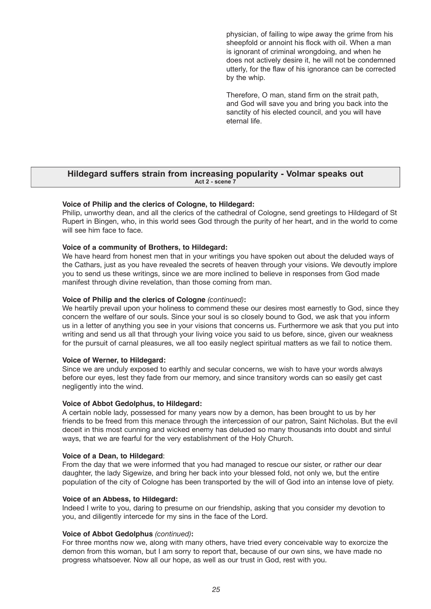physician, of failing to wipe away the grime from his sheepfold or annoint his flock with oil. When a man is ignorant of criminal wrongdoing, and when he does not actively desire it, he will not be condemned utterly, for the flaw of his ignorance can be corrected by the whip.

Therefore, O man, stand firm on the strait path, and God will save you and bring you back into the sanctity of his elected council, and you will have eternal life.

### **Hildegard suffers strain from increasing popularity - Volmar speaks out Act 2 - scene 7**

#### **Voice of Philip and the clerics of Cologne, to Hildegard:**

Philip, unworthy dean, and all the clerics of the cathedral of Cologne, send greetings to Hildegard of St Rupert in Bingen, who, in this world sees God through the purity of her heart, and in the world to come will see him face to face.

#### **Voice of a community of Brothers, to Hildegard:**

We have heard from honest men that in your writings you have spoken out about the deluded ways of the Cathars, just as you have revealed the secrets of heaven through your visions. We devoutly implore you to send us these writings, since we are more inclined to believe in responses from God made manifest through divine revelation, than those coming from man.

#### **Voice of Philip and the clerics of Cologne** *(continued)***:**

We heartily prevail upon your holiness to commend these our desires most earnestly to God, since they concern the welfare of our souls. Since your soul is so closely bound to God, we ask that you inform us in a letter of anything you see in your visions that concerns us. Furthermore we ask that you put into writing and send us all that through your living voice you said to us before, since, given our weakness for the pursuit of carnal pleasures, we all too easily neglect spiritual matters as we fail to notice them.

#### **Voice of Werner, to Hildegard:**

Since we are unduly exposed to earthly and secular concerns, we wish to have your words always before our eyes, lest they fade from our memory, and since transitory words can so easily get cast negligently into the wind.

#### **Voice of Abbot Gedolphus, to Hildegard:**

A certain noble lady, possessed for many years now by a demon, has been brought to us by her friends to be freed from this menace through the intercession of our patron, Saint Nicholas. But the evil deceit in this most cunning and wicked enemy has deluded so many thousands into doubt and sinful ways, that we are fearful for the very establishment of the Holy Church.

#### **Voice of a Dean, to Hildegard**:

From the day that we were informed that you had managed to rescue our sister, or rather our dear daughter, the lady Sigewize, and bring her back into your blessed fold, not only we, but the entire population of the city of Cologne has been transported by the will of God into an intense love of piety.

#### **Voice of an Abbess, to Hildegard:**

Indeed I write to you, daring to presume on our friendship, asking that you consider my devotion to you, and diligently intercede for my sins in the face of the Lord.

#### **Voice of Abbot Gedolphus** *(continued)***:**

For three months now we, along with many others, have tried every conceivable way to exorcize the demon from this woman, but I am sorry to report that, because of our own sins, we have made no progress whatsoever. Now all our hope, as well as our trust in God, rest with you.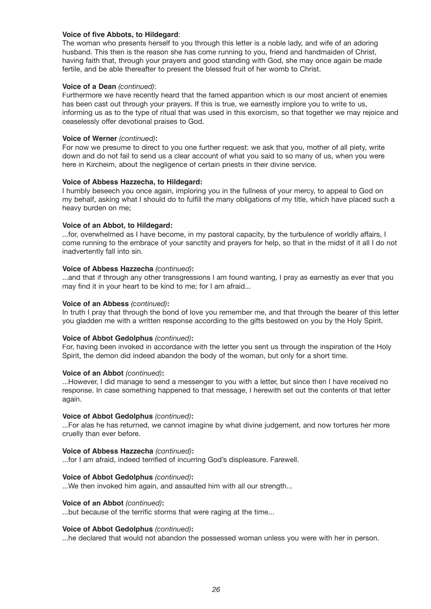#### **Voice of five Abbots, to Hildegard:**

The woman who presents herself to you through this letter is a noble lady, and wife of an adoring husband. This then is the reason she has come running to you, friend and handmaiden of Christ, having faith that, through your prayers and good standing with God, she may once again be made fertile, and be able thereafter to present the blessed fruit of her womb to Christ.

#### **Voice of a Dean** *(continued)*:

Furthermore we have recently heard that the famed apparition which is our most ancient of enemies has been cast out through your prayers. If this is true, we earnestly implore you to write to us, informing us as to the type of ritual that was used in this exorcism, so that together we may rejoice and ceaselessly offer devotional praises to God.

#### **Voice of Werner** *(continued)***:**

For now we presume to direct to you one further request: we ask that you, mother of all piety, write down and do not fail to send us a clear account of what you said to so many of us, when you were here in Kircheim, about the negligence of certain priests in their divine service.

#### **Voice of Abbess Hazzecha, to Hildegard:**

I humbly beseech you once again, imploring you in the fullness of your mercy, to appeal to God on my behalf, asking what I should do to fulfill the many obligations of my title, which have placed such a heavy burden on me;

#### **Voice of an Abbot, to Hildegard:**

...for, overwhelmed as I have become, in my pastoral capacity, by the turbulence of worldly affairs, I come running to the embrace of your sanctity and prayers for help, so that in the midst of it all I do not inadvertently fall into sin.

#### **Voice of Abbess Hazzecha** *(continued)***:**

...and that if through any other transgressions I am found wanting, I pray as earnestly as ever that you may find it in your heart to be kind to me; for I am afraid...

#### **Voice of an Abbess** *(continued)***:**

In truth I pray that through the bond of love you remember me, and that through the bearer of this letter you gladden me with a written response according to the gifts bestowed on you by the Holy Spirit.

### **Voice of Abbot Gedolphus** *(continued)***:**

For, having been invoked in accordance with the letter you sent us through the inspiration of the Holy Spirit, the demon did indeed abandon the body of the woman, but only for a short time.

#### **Voice of an Abbot** *(continued)***:**

...However, I did manage to send a messenger to you with a letter, but since then I have received no response. In case something happened to that message, I herewith set out the contents of that letter again.

### **Voice of Abbot Gedolphus** *(continued)***:**

...For alas he has returned, we cannot imagine by what divine judgement, and now tortures her more cruelly than ever before.

#### **Voice of Abbess Hazzecha** *(continued)***:**

...for I am afraid, indeed terrified of incurring God's displeasure. Farewell.

#### **Voice of Abbot Gedolphus** *(continued)***:**

...We then invoked him again, and assaulted him with all our strength...

#### **Voice of an Abbot** *(continued)***:**

...but because of the terrific storms that were raging at the time...

#### **Voice of Abbot Gedolphus** *(continued)***:**

...he declared that would not abandon the possessed woman unless you were with her in person.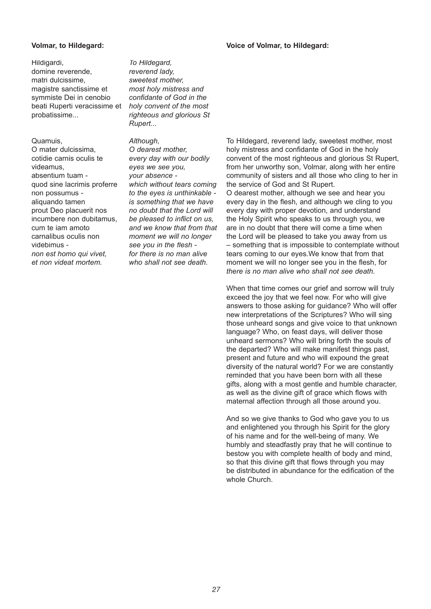#### **Voice of Volmar, to Hildegard:**

### **Volmar, to Hildegard:**

#### Hildigardi,

domine reverende, matri dulcissime, magistre sanctissime et symmiste Dei in cenobio beati Ruperti veracissime et probatissime...

#### Quamuis,

O mater dulcissima, cotidie carnis oculis te videamus, absentium tuam quod sine lacrimis proferre non possumus aliquando tamen prout Deo placuerit nos incumbere non dubitamus, cum te iam amoto carnalibus oculis non videbimus *non est homo qui vivet, et non videat mortem.*

*To Hildegard, reverend lady, sweetest mother, most holy mistress and confi dante of God in the holy convent of the most righteous and glorious St Rupert...*

#### *Although,*

*O dearest mother, every day with our bodily eyes we see you, your absence which without tears coming to the eyes is unthinkable is something that we have no doubt that the Lord will*  be pleased to inflict on us. *and we know that from that moment we will no longer*  see you in the flesh *for there is no man alive who shall not see death.*

To Hildegard, reverend lady, sweetest mother, most holy mistress and confidante of God in the holy convent of the most righteous and glorious St Rupert, from her unworthy son, Volmar, along with her entire community of sisters and all those who cling to her in the service of God and St Rupert. O dearest mother, although we see and hear you every day in the flesh, and although we cling to you every day with proper devotion, and understand the Holy Spirit who speaks to us through you, we are in no doubt that there will come a time when the Lord will be pleased to take you away from us – something that is impossible to contemplate without tears coming to our eyes.We know that from that moment we will no longer see you in the flesh, for *there is no man alive who shall not see death.*

When that time comes our grief and sorrow will truly exceed the joy that we feel now. For who will give answers to those asking for guidance? Who will offer new interpretations of the Scriptures? Who will sing those unheard songs and give voice to that unknown language? Who, on feast days, will deliver those unheard sermons? Who will bring forth the souls of the departed? Who will make manifest things past, present and future and who will expound the great diversity of the natural world? For we are constantly reminded that you have been born with all these gifts, along with a most gentle and humble character, as well as the divine gift of grace which flows with maternal affection through all those around you.

And so we give thanks to God who gave you to us and enlightened you through his Spirit for the glory of his name and for the well-being of many. We humbly and steadfastly pray that he will continue to bestow you with complete health of body and mind, so that this divine gift that flows through you may be distributed in abundance for the edification of the whole Church.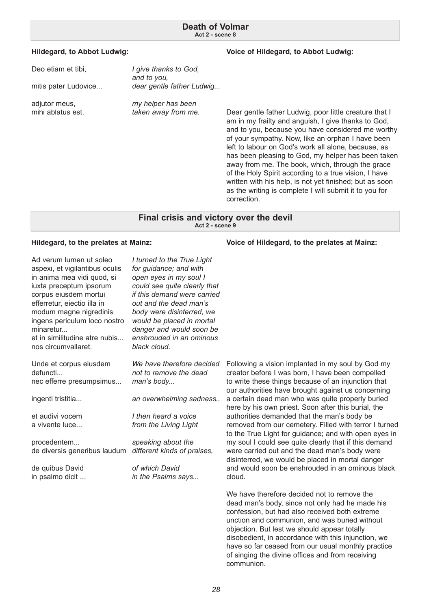#### **Hildegard, to Abbot Ludwig:**

### **Voice of Hildegard, to Abbot Ludwig:**

| Deo etiam et tibi,<br>mitis pater Ludovice | I give thanks to God,<br>and to you,<br>dear gentle father Ludwig |
|--------------------------------------------|-------------------------------------------------------------------|
| adjutor meus,                              | my helper has been                                                |
| mihi ablatus est.                          | taken away from me.                                               |

Dear gentle father Ludwig, poor little creature that I am in my frailty and anguish, I give thanks to God, and to you, because you have considered me worthy of your sympathy. Now, like an orphan I have been left to labour on God's work all alone, because, as has been pleasing to God, my helper has been taken away from me. The book, which, through the grace of the Holy Spirit according to a true vision, I have written with his help, is not yet finished; but as soon as the writing is complete I will submit it to you for correction.

#### **Final crisis and victory over the devil Act 2 - scene 9**

#### **Hildegard, to the prelates at Mainz:**

| Ad verum lumen ut soleo<br>aspexi, et vigilantibus oculis<br>in anima mea vidi quod, si<br>iuxta preceptum ipsorum<br>corpus eiusdem mortui<br>efferretur, eiectio illa in<br>modum magne nigredinis<br>ingens periculum loco nostro<br>minaretur<br>et in similitudine atre nubis<br>nos circumvallaret. | I turned to the True Light<br>for guidance; and with<br>open eyes in my soul I<br>could see quite clearly that<br>if this demand were carried<br>out and the dead man's<br>body were disinterred, we<br>would be placed in mortal<br>danger and would soon be<br>enshrouded in an ominous<br>black cloud. |                                                           |
|-----------------------------------------------------------------------------------------------------------------------------------------------------------------------------------------------------------------------------------------------------------------------------------------------------------|-----------------------------------------------------------------------------------------------------------------------------------------------------------------------------------------------------------------------------------------------------------------------------------------------------------|-----------------------------------------------------------|
| Unde et corpus eiusdem<br>defuncti<br>nec efferre presumpsimus                                                                                                                                                                                                                                            | We have therefore decided<br>not to remove the dead<br>man's body                                                                                                                                                                                                                                         | Following a<br>creator bef<br>to write the<br>our authori |
| ingenti tristitia                                                                                                                                                                                                                                                                                         | an overwhelming sadness                                                                                                                                                                                                                                                                                   | a certain de<br>here by his                               |
| et audivi vocem<br>a vivente luce                                                                                                                                                                                                                                                                         | I then heard a voice<br>from the Living Light                                                                                                                                                                                                                                                             | authorities<br>removed fr<br>to the True                  |
| procedentem<br>de diversis generibus laudum                                                                                                                                                                                                                                                               | speaking about the<br>different kinds of praises,                                                                                                                                                                                                                                                         | my soul I c<br>were carrie<br>disinterred,                |
| de quibus David<br>in psalmo dicit                                                                                                                                                                                                                                                                        | of which David<br>in the Psalms says                                                                                                                                                                                                                                                                      | and would<br>cloud.                                       |
|                                                                                                                                                                                                                                                                                                           |                                                                                                                                                                                                                                                                                                           | $M_0$ have the                                            |

**Voice of Hildegard, to the prelates at Mainz:**

a vision implanted in my soul by God my ore I was born, I have been compelled ese things because of an injunction that ties have brought against us concerning ead man who was quite properly buried own priest. Soon after this burial, the demanded that the man's body be om our cemetery. Filled with terror I turned Light for guidance; and with open eyes in ould see quite clearly that if this demand ed out and the dead man's body were we would be placed in mortal danger soon be enshrouded in an ominous black

We have therefore decided not to remove the dead man's body, since not only had he made his confession, but had also received both extreme unction and communion, and was buried without objection. But lest we should appear totally disobedient, in accordance with this injunction, we have so far ceased from our usual monthly practice of singing the divine offices and from receiving communion.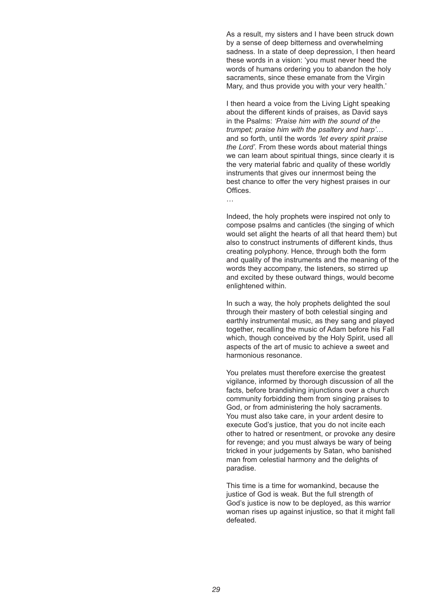As a result, my sisters and I have been struck down by a sense of deep bitterness and overwhelming sadness. In a state of deep depression, I then heard these words in a vision: 'you must never heed the words of humans ordering you to abandon the holy sacraments, since these emanate from the Virgin Mary, and thus provide you with your very health.'

I then heard a voice from the Living Light speaking about the different kinds of praises, as David says in the Psalms: *'Praise him with the sound of the trumpet; praise him with the psaltery and harp'*… and so forth, until the words *'let every spirit praise the Lord'.* From these words about material things we can learn about spiritual things, since clearly it is the very material fabric and quality of these worldly instruments that gives our innermost being the best chance to offer the very highest praises in our Offices.

…

Indeed, the holy prophets were inspired not only to compose psalms and canticles (the singing of which would set alight the hearts of all that heard them) but also to construct instruments of different kinds, thus creating polyphony. Hence, through both the form and quality of the instruments and the meaning of the words they accompany, the listeners, so stirred up and excited by these outward things, would become enlightened within.

In such a way, the holy prophets delighted the soul through their mastery of both celestial singing and earthly instrumental music, as they sang and played together, recalling the music of Adam before his Fall which, though conceived by the Holy Spirit, used all aspects of the art of music to achieve a sweet and harmonious resonance.

You prelates must therefore exercise the greatest vigilance, informed by thorough discussion of all the facts, before brandishing injunctions over a church community forbidding them from singing praises to God, or from administering the holy sacraments. You must also take care, in your ardent desire to execute God's justice, that you do not incite each other to hatred or resentment, or provoke any desire for revenge; and you must always be wary of being tricked in your judgements by Satan, who banished man from celestial harmony and the delights of paradise.

This time is a time for womankind, because the justice of God is weak. But the full strength of God's justice is now to be deployed, as this warrior woman rises up against injustice, so that it might fall defeated.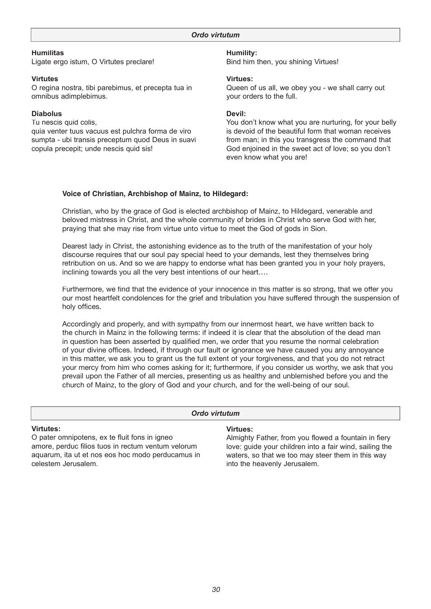**Humilitas** Ligate ergo istum, O Virtutes preclare!

### **Virtutes**

O regina nostra, tibi parebimus, et precepta tua in omnibus adimplebimus.

### **Diabolus**

Tu nescis quid colis, quia venter tuus vacuus est pulchra forma de viro sumpta - ubi transis preceptum quod Deus in suavi copula precepit; unde nescis quid sis!

### **Humility:**

Bind him then, you shining Virtues!

#### **Virtues:**

Queen of us all, we obey you - we shall carry out your orders to the full.

#### **Devil:**

You don't know what you are nurturing, for your belly is devoid of the beautiful form that woman receives from man; in this you transgress the command that God enjoined in the sweet act of love; so you don't even know what you are!

#### **Voice of Christian, Archbishop of Mainz, to Hildegard:**

Christian, who by the grace of God is elected archbishop of Mainz, to Hildegard, venerable and beloved mistress in Christ, and the whole community of brides in Christ who serve God with her, praying that she may rise from virtue unto virtue to meet the God of gods in Sion.

Dearest lady in Christ, the astonishing evidence as to the truth of the manifestation of your holy discourse requires that our soul pay special heed to your demands, lest they themselves bring retribution on us. And so we are happy to endorse what has been granted you in your holy prayers, inclining towards you all the very best intentions of our heart….

Furthermore, we find that the evidence of your innocence in this matter is so strong, that we offer you our most heartfelt condolences for the grief and tribulation you have suffered through the suspension of holy offices.

Accordingly and properly, and with sympathy from our innermost heart, we have written back to the church in Mainz in the following terms: if indeed it is clear that the absolution of the dead man in question has been asserted by qualified men, we order that you resume the normal celebration of your divine offices. Indeed, if through our fault or ignorance we have caused you any annoyance in this matter, we ask you to grant us the full extent of your forgiveness, and that you do not retract your mercy from him who comes asking for it; furthermore, if you consider us worthy, we ask that you prevail upon the Father of all mercies, presenting us as healthy and unblemished before you and the church of Mainz, to the glory of God and your church, and for the well-being of our soul.

#### *Ordo virtutum*

#### **Virtutes:**

O pater omnipotens, ex te fluit fons in igneo amore, perduc filios tuos in rectum ventum velorum aquarum, ita ut et nos eos hoc modo perducamus in celestem Jerusalem.

#### **Virtues:**

Almighty Father, from you flowed a fountain in fiery love: guide your children into a fair wind, sailing the waters, so that we too may steer them in this way into the heavenly Jerusalem.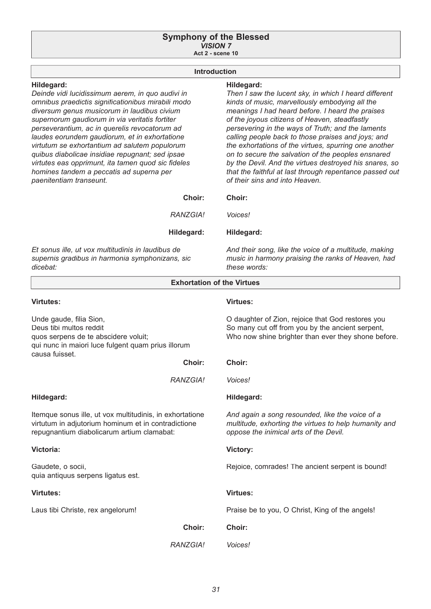#### **Symphony of the Blessed** *VISION 7* **Act 2 - scene 10**

### **Introduction**

### **Hildegard:**

*Deinde vidi lucidissimum aerem, in quo audivi in omnibus praedictis signifi cationibus mirabili modo diversum genus musicorum in laudibus civium supernorum gaudiorum in via veritatis fortiter perseverantium, ac in querelis revocatorum ad laudes eorundem gaudiorum, et in exhortatione virtutum se exhortantium ad salutem populorum quibus diabolicae insidiae repugnant; sed ipsae*  virtutes eas opprimunt, ita tamen quod sic fideles *homines tandem a peccatis ad superna per paenitentiam transeunt.*

#### **Hildegard:**

*Voices!*

**Hildegard:**

*Then I saw the lucent sky, in which I heard different kinds of music, marvellously embodying all the meanings I had heard before. I heard the praises of the joyous citizens of Heaven, steadfastly persevering in the ways of Truth; and the laments calling people back to those praises and joys; and the exhortations of the virtues, spurring one another on to secure the salvation of the peoples ensnared by the Devil. And the virtues destroyed his snares, so that the faithful at last through repentance passed out of their sins and into Heaven.*

#### **Choir: Choir:**

*RANZGIA!*

#### **Hildegard:**

*Et sonus ille, ut vox multitudinis in laudibus de supernis gradibus in harmonia symphonizans, sic dicebat:*

*And their song, like the voice of a multitude, making music in harmony praising the ranks of Heaven, had these words:*

| <b>Exhortation of the Virtues</b>                                                                                                                                  |                                                                                                                                                              |
|--------------------------------------------------------------------------------------------------------------------------------------------------------------------|--------------------------------------------------------------------------------------------------------------------------------------------------------------|
| Virtutes:                                                                                                                                                          | <b>Virtues:</b>                                                                                                                                              |
| Unde gaude, filia Sion,<br>Deus tibi multos reddit<br>quos serpens de te abscidere voluit;<br>qui nunc in maiori luce fulgent quam prius illorum<br>causa fuisset. | O daughter of Zion, rejoice that God restores you<br>So many cut off from you by the ancient serpent,<br>Who now shine brighter than ever they shone before. |
| Choir:                                                                                                                                                             | Choir:                                                                                                                                                       |
| RANZGIA!                                                                                                                                                           | Voices!                                                                                                                                                      |
| Hildegard:                                                                                                                                                         | Hildegard:                                                                                                                                                   |
| Itemque sonus ille, ut vox multitudinis, in exhortatione<br>virtutum in adjutorium hominum et in contradictione<br>repugnantium diabolicarum artium clamabat:      | And again a song resounded, like the voice of a<br>multitude, exhorting the virtues to help humanity and<br>oppose the inimical arts of the Devil.           |
| Victoria:                                                                                                                                                          | Victory:                                                                                                                                                     |
| Gaudete, o socii,<br>quia antiquus serpens ligatus est.                                                                                                            | Rejoice, comrades! The ancient serpent is bound!                                                                                                             |
| <b>Virtutes:</b>                                                                                                                                                   | <b>Virtues:</b>                                                                                                                                              |
| Laus tibi Christe, rex angelorum!                                                                                                                                  | Praise be to you, O Christ, King of the angels!                                                                                                              |
| Choir:                                                                                                                                                             | Choir:                                                                                                                                                       |
| RANZGIA!                                                                                                                                                           | <i>Voices!</i>                                                                                                                                               |